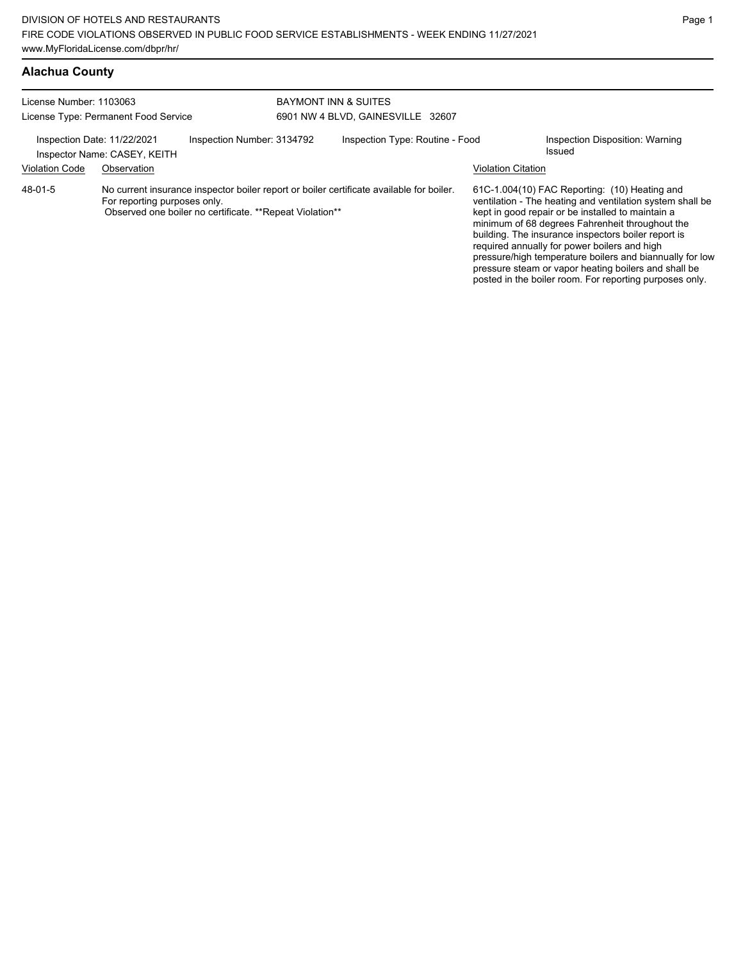# **Alachua County**

| License Number: 1103063<br>License Type: Permanent Food Service                                                                                                                                 |                              |                            | <b>BAYMONT INN &amp; SUITES</b><br>6901 NW 4 BLVD, GAINESVILLE 32607 |                                 |                           |                                                                                                                                                                                                                                                                                                                                                                                                                                                                                                          |  |
|-------------------------------------------------------------------------------------------------------------------------------------------------------------------------------------------------|------------------------------|----------------------------|----------------------------------------------------------------------|---------------------------------|---------------------------|----------------------------------------------------------------------------------------------------------------------------------------------------------------------------------------------------------------------------------------------------------------------------------------------------------------------------------------------------------------------------------------------------------------------------------------------------------------------------------------------------------|--|
|                                                                                                                                                                                                 |                              |                            |                                                                      |                                 |                           |                                                                                                                                                                                                                                                                                                                                                                                                                                                                                                          |  |
| Inspection Date: 11/22/2021                                                                                                                                                                     | Inspector Name: CASEY, KEITH | Inspection Number: 3134792 |                                                                      | Inspection Type: Routine - Food |                           | Inspection Disposition: Warning<br>Issued                                                                                                                                                                                                                                                                                                                                                                                                                                                                |  |
| <b>Violation Code</b>                                                                                                                                                                           | Observation                  |                            |                                                                      |                                 | <b>Violation Citation</b> |                                                                                                                                                                                                                                                                                                                                                                                                                                                                                                          |  |
| 48-01-5<br>No current insurance inspector boiler report or boiler certificate available for boiler.<br>For reporting purposes only.<br>Observed one boiler no certificate. **Repeat Violation** |                              |                            |                                                                      |                                 |                           | 61C-1.004(10) FAC Reporting: (10) Heating and<br>ventilation - The heating and ventilation system shall be<br>kept in good repair or be installed to maintain a<br>minimum of 68 degrees Fahrenheit throughout the<br>building. The insurance inspectors boiler report is<br>required annually for power boilers and high<br>pressure/high temperature boilers and biannually for low<br>pressure steam or vapor heating boilers and shall be<br>posted in the boiler room. For reporting purposes only. |  |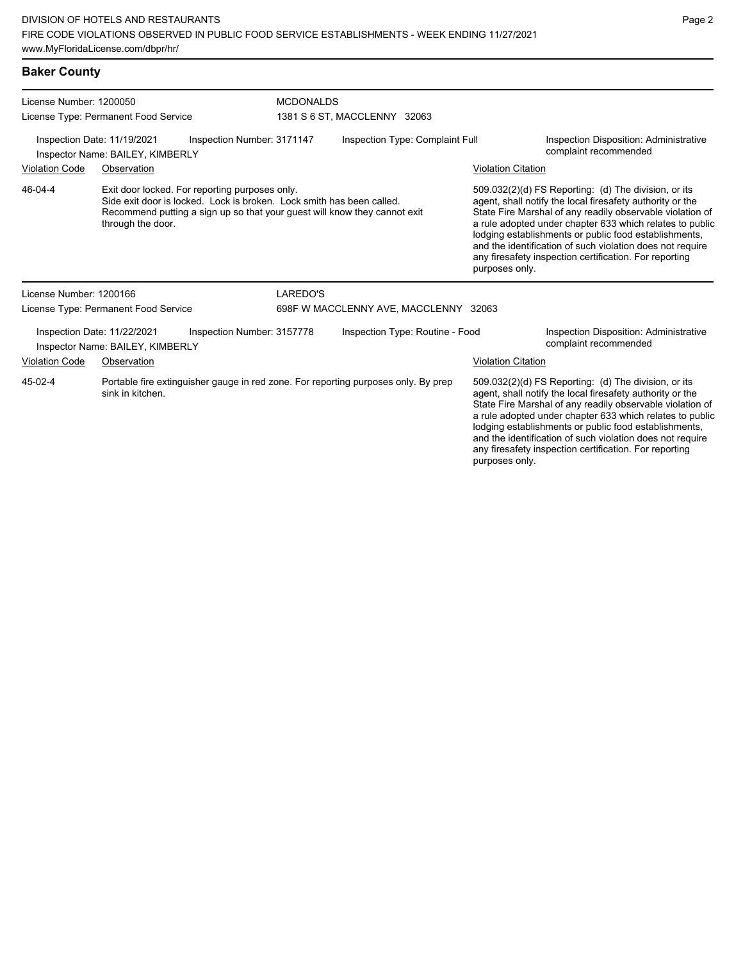| License Number: 1200050                                                                       |                                                                                                                                                                                                                           |  |                                                                                    | <b>MCDONALDS</b>                |  |                                                                                                                                                                                                                                                                                                                                                                                                                                              |                                                                        |  |
|-----------------------------------------------------------------------------------------------|---------------------------------------------------------------------------------------------------------------------------------------------------------------------------------------------------------------------------|--|------------------------------------------------------------------------------------|---------------------------------|--|----------------------------------------------------------------------------------------------------------------------------------------------------------------------------------------------------------------------------------------------------------------------------------------------------------------------------------------------------------------------------------------------------------------------------------------------|------------------------------------------------------------------------|--|
| License Type: Permanent Food Service                                                          |                                                                                                                                                                                                                           |  |                                                                                    | 1381 S 6 ST, MACCLENNY 32063    |  |                                                                                                                                                                                                                                                                                                                                                                                                                                              |                                                                        |  |
| Inspection Number: 3171147<br>Inspection Date: 11/19/2021<br>Inspector Name: BAILEY, KIMBERLY |                                                                                                                                                                                                                           |  | Inspection Type: Complaint Full<br>complaint recommended                           |                                 |  | <b>Inspection Disposition: Administrative</b>                                                                                                                                                                                                                                                                                                                                                                                                |                                                                        |  |
| <b>Violation Code</b><br>Observation                                                          |                                                                                                                                                                                                                           |  |                                                                                    |                                 |  | <b>Violation Citation</b>                                                                                                                                                                                                                                                                                                                                                                                                                    |                                                                        |  |
| 46-04-4                                                                                       | Exit door locked. For reporting purposes only.<br>Side exit door is locked. Lock is broken. Lock smith has been called.<br>Recommend putting a sign up so that your guest will know they cannot exit<br>through the door. |  |                                                                                    |                                 |  | 509.032(2)(d) FS Reporting: (d) The division, or its<br>agent, shall notify the local firesafety authority or the<br>State Fire Marshal of any readily observable violation of<br>a rule adopted under chapter 633 which relates to public<br>lodging establishments or public food establishments,<br>and the identification of such violation does not require<br>any firesafety inspection certification. For reporting<br>purposes only. |                                                                        |  |
| License Number: 1200166                                                                       |                                                                                                                                                                                                                           |  | LAREDO'S                                                                           |                                 |  |                                                                                                                                                                                                                                                                                                                                                                                                                                              |                                                                        |  |
|                                                                                               | License Type: Permanent Food Service                                                                                                                                                                                      |  | 698F W MACCLENNY AVE, MACCLENNY 32063                                              |                                 |  |                                                                                                                                                                                                                                                                                                                                                                                                                                              |                                                                        |  |
| Inspection Number: 3157778<br>Inspection Date: 11/22/2021<br>Inspector Name: BAILEY, KIMBERLY |                                                                                                                                                                                                                           |  |                                                                                    | Inspection Type: Routine - Food |  |                                                                                                                                                                                                                                                                                                                                                                                                                                              | <b>Inspection Disposition: Administrative</b><br>complaint recommended |  |
| <b>Violation Code</b>                                                                         | Observation                                                                                                                                                                                                               |  |                                                                                    |                                 |  | <b>Violation Citation</b>                                                                                                                                                                                                                                                                                                                                                                                                                    |                                                                        |  |
| 45-02-4<br>sink in kitchen.                                                                   |                                                                                                                                                                                                                           |  | Portable fire extinguisher gauge in red zone. For reporting purposes only. By prep |                                 |  | 509.032(2)(d) FS Reporting: (d) The division, or its<br>agent, shall notify the local firesafety authority or the<br>State Fire Marshal of any readily observable violation of                                                                                                                                                                                                                                                               |                                                                        |  |

State Fire Marshal of any readily observable viol a rule adopted under chapter 633 which relates to public lodging establishments or public food establishments, and the identification of such violation does not require any firesafety inspection certification. For reporting purposes only.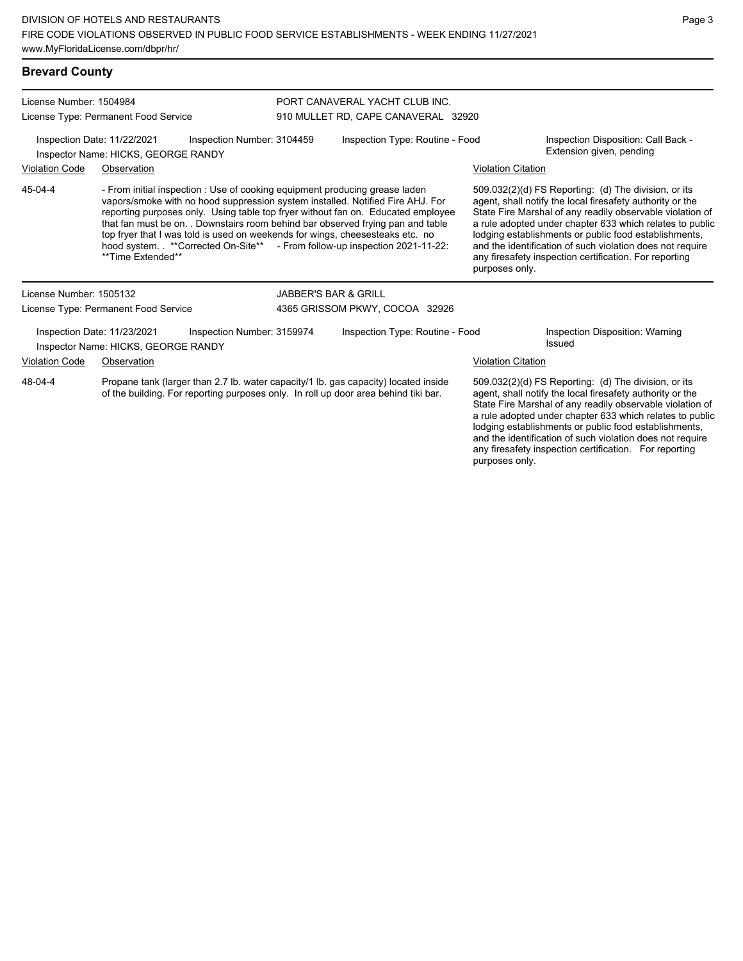| <b>Brevard County</b>                                                                                                                                                                 |                                                                                                                                                                                                                                                                                                                                                                                                                                                                                                                          |                            |  |                                                                       |                                                                                                                                                                                                                                                                                                                                                                                                                                              |                                           |  |  |  |
|---------------------------------------------------------------------------------------------------------------------------------------------------------------------------------------|--------------------------------------------------------------------------------------------------------------------------------------------------------------------------------------------------------------------------------------------------------------------------------------------------------------------------------------------------------------------------------------------------------------------------------------------------------------------------------------------------------------------------|----------------------------|--|-----------------------------------------------------------------------|----------------------------------------------------------------------------------------------------------------------------------------------------------------------------------------------------------------------------------------------------------------------------------------------------------------------------------------------------------------------------------------------------------------------------------------------|-------------------------------------------|--|--|--|
| License Number: 1504984                                                                                                                                                               |                                                                                                                                                                                                                                                                                                                                                                                                                                                                                                                          |                            |  | PORT CANAVERAL YACHT CLUB INC.<br>910 MULLET RD, CAPE CANAVERAL 32920 |                                                                                                                                                                                                                                                                                                                                                                                                                                              |                                           |  |  |  |
|                                                                                                                                                                                       | License Type: Permanent Food Service                                                                                                                                                                                                                                                                                                                                                                                                                                                                                     |                            |  |                                                                       |                                                                                                                                                                                                                                                                                                                                                                                                                                              |                                           |  |  |  |
| Inspection Date: 11/22/2021<br>Inspection Number: 3104459<br>Inspector Name: HICKS, GEORGE RANDY                                                                                      |                                                                                                                                                                                                                                                                                                                                                                                                                                                                                                                          |                            |  | Inspection Type: Routine - Food                                       | Inspection Disposition: Call Back -<br>Extension given, pending                                                                                                                                                                                                                                                                                                                                                                              |                                           |  |  |  |
| <b>Violation Code</b><br>Observation                                                                                                                                                  |                                                                                                                                                                                                                                                                                                                                                                                                                                                                                                                          |                            |  |                                                                       | <b>Violation Citation</b>                                                                                                                                                                                                                                                                                                                                                                                                                    |                                           |  |  |  |
| 45-04-4                                                                                                                                                                               | - From initial inspection : Use of cooking equipment producing grease laden<br>vapors/smoke with no hood suppression system installed. Notified Fire AHJ. For<br>reporting purposes only. Using table top fryer without fan on. Educated employee<br>that fan must be on. . Downstairs room behind bar observed frying pan and table<br>top fryer that I was told is used on weekends for wings, cheesesteaks etc. no<br>hood system. **Corrected On-Site** - From follow-up inspection 2021-11-22:<br>**Time Extended** |                            |  |                                                                       | 509.032(2)(d) FS Reporting: (d) The division, or its<br>agent, shall notify the local firesafety authority or the<br>State Fire Marshal of any readily observable violation of<br>a rule adopted under chapter 633 which relates to public<br>lodging establishments or public food establishments,<br>and the identification of such violation does not require<br>any firesafety inspection certification. For reporting<br>purposes only. |                                           |  |  |  |
| License Number: 1505132                                                                                                                                                               |                                                                                                                                                                                                                                                                                                                                                                                                                                                                                                                          |                            |  | <b>JABBER'S BAR &amp; GRILL</b>                                       |                                                                                                                                                                                                                                                                                                                                                                                                                                              |                                           |  |  |  |
|                                                                                                                                                                                       | License Type: Permanent Food Service                                                                                                                                                                                                                                                                                                                                                                                                                                                                                     |                            |  | 4365 GRISSOM PKWY, COCOA 32926                                        |                                                                                                                                                                                                                                                                                                                                                                                                                                              |                                           |  |  |  |
|                                                                                                                                                                                       | Inspection Date: 11/23/2021<br>Inspector Name: HICKS, GEORGE RANDY                                                                                                                                                                                                                                                                                                                                                                                                                                                       | Inspection Number: 3159974 |  | Inspection Type: Routine - Food                                       |                                                                                                                                                                                                                                                                                                                                                                                                                                              | Inspection Disposition: Warning<br>Issued |  |  |  |
| <b>Violation Code</b>                                                                                                                                                                 | Observation                                                                                                                                                                                                                                                                                                                                                                                                                                                                                                              |                            |  |                                                                       | <b>Violation Citation</b>                                                                                                                                                                                                                                                                                                                                                                                                                    |                                           |  |  |  |
| 48-04-4<br>Propane tank (larger than 2.7 lb. water capacity/1 lb. gas capacity) located inside<br>of the building. For reporting purposes only. In roll up door area behind tiki bar. |                                                                                                                                                                                                                                                                                                                                                                                                                                                                                                                          |                            |  |                                                                       | 509.032(2)(d) FS Reporting: (d) The division, or its<br>agent, shall notify the local firesafety authority or the<br>State Fire Marshal of any readily observable violation of                                                                                                                                                                                                                                                               |                                           |  |  |  |

a rule adopted under chapter 633 which relates to public lodging establishments or public food establishments, and the identification of such violation does not require any firesafety inspection certification. For reporting

purposes only.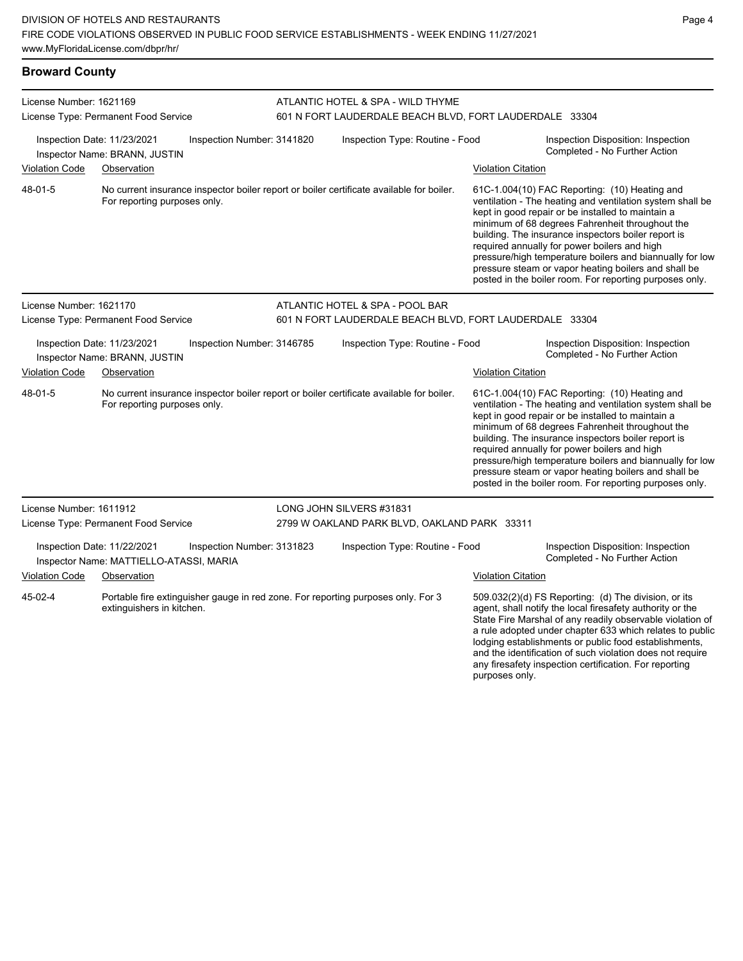| <b>Broward County</b>                                                                                |                                                              |                            |                                 |                                                                                              |                                                                     |                                                                                                                                                                                                                                                                                                                                                                                                                                                                                                          |  |  |  |
|------------------------------------------------------------------------------------------------------|--------------------------------------------------------------|----------------------------|---------------------------------|----------------------------------------------------------------------------------------------|---------------------------------------------------------------------|----------------------------------------------------------------------------------------------------------------------------------------------------------------------------------------------------------------------------------------------------------------------------------------------------------------------------------------------------------------------------------------------------------------------------------------------------------------------------------------------------------|--|--|--|
| License Number: 1621169                                                                              | License Type: Permanent Food Service                         |                            |                                 | ATLANTIC HOTEL & SPA - WILD THYME<br>601 N FORT LAUDERDALE BEACH BLVD, FORT LAUDERDALE 33304 |                                                                     |                                                                                                                                                                                                                                                                                                                                                                                                                                                                                                          |  |  |  |
|                                                                                                      | Inspection Date: 11/23/2021<br>Inspector Name: BRANN, JUSTIN | Inspection Number: 3141820 |                                 | Inspection Type: Routine - Food                                                              |                                                                     | Inspection Disposition: Inspection<br>Completed - No Further Action                                                                                                                                                                                                                                                                                                                                                                                                                                      |  |  |  |
| <b>Violation Code</b>                                                                                | Observation                                                  |                            |                                 |                                                                                              | <b>Violation Citation</b>                                           |                                                                                                                                                                                                                                                                                                                                                                                                                                                                                                          |  |  |  |
| 48-01-5                                                                                              | For reporting purposes only.                                 |                            |                                 | No current insurance inspector boiler report or boiler certificate available for boiler.     |                                                                     | 61C-1.004(10) FAC Reporting: (10) Heating and<br>ventilation - The heating and ventilation system shall be<br>kept in good repair or be installed to maintain a<br>minimum of 68 degrees Fahrenheit throughout the<br>building. The insurance inspectors boiler report is<br>required annually for power boilers and high<br>pressure/high temperature boilers and biannually for low<br>pressure steam or vapor heating boilers and shall be<br>posted in the boiler room. For reporting purposes only. |  |  |  |
| License Number: 1621170                                                                              |                                                              |                            |                                 | ATLANTIC HOTEL & SPA - POOL BAR                                                              |                                                                     |                                                                                                                                                                                                                                                                                                                                                                                                                                                                                                          |  |  |  |
| License Type: Permanent Food Service                                                                 |                                                              |                            |                                 | 601 N FORT LAUDERDALE BEACH BLVD, FORT LAUDERDALE 33304                                      |                                                                     |                                                                                                                                                                                                                                                                                                                                                                                                                                                                                                          |  |  |  |
|                                                                                                      | Inspection Date: 11/23/2021<br>Inspector Name: BRANN, JUSTIN | Inspection Number: 3146785 |                                 | Inspection Type: Routine - Food                                                              |                                                                     | Inspection Disposition: Inspection<br>Completed - No Further Action                                                                                                                                                                                                                                                                                                                                                                                                                                      |  |  |  |
| <b>Violation Code</b>                                                                                | Observation                                                  |                            |                                 |                                                                                              | <b>Violation Citation</b>                                           |                                                                                                                                                                                                                                                                                                                                                                                                                                                                                                          |  |  |  |
| 48-01-5                                                                                              | For reporting purposes only.                                 |                            |                                 | No current insurance inspector boiler report or boiler certificate available for boiler.     |                                                                     | 61C-1.004(10) FAC Reporting: (10) Heating and<br>ventilation - The heating and ventilation system shall be<br>kept in good repair or be installed to maintain a<br>minimum of 68 degrees Fahrenheit throughout the<br>building. The insurance inspectors boiler report is<br>required annually for power boilers and high<br>pressure/high temperature boilers and biannually for low<br>pressure steam or vapor heating boilers and shall be<br>posted in the boiler room. For reporting purposes only. |  |  |  |
| License Number: 1611912                                                                              |                                                              |                            |                                 | LONG JOHN SILVERS #31831                                                                     |                                                                     |                                                                                                                                                                                                                                                                                                                                                                                                                                                                                                          |  |  |  |
|                                                                                                      | License Type: Permanent Food Service                         |                            |                                 | 2799 W OAKLAND PARK BLVD, OAKLAND PARK 33311                                                 |                                                                     |                                                                                                                                                                                                                                                                                                                                                                                                                                                                                                          |  |  |  |
| Inspection Date: 11/22/2021<br>Inspection Number: 3131823<br>Inspector Name: MATTIELLO-ATASSI, MARIA |                                                              |                            | Inspection Type: Routine - Food |                                                                                              | Inspection Disposition: Inspection<br>Completed - No Further Action |                                                                                                                                                                                                                                                                                                                                                                                                                                                                                                          |  |  |  |
| <b>Violation Code</b>                                                                                | Observation                                                  |                            |                                 |                                                                                              | <b>Violation Citation</b>                                           |                                                                                                                                                                                                                                                                                                                                                                                                                                                                                                          |  |  |  |
| 45-02-4                                                                                              | extinguishers in kitchen.                                    |                            |                                 | Portable fire extinguisher gauge in red zone. For reporting purposes only. For 3             |                                                                     | $509.032(2)(d)$ FS Reporting: (d) The division, or its<br>agent, shall notify the local firesafety authority or the<br>State Fire Marshal of any readily observable violation of<br>a rule adopted under chapter 633 which relates to public<br>lodging establishments or public food establishments,                                                                                                                                                                                                    |  |  |  |

and the identification of such violation does not require any firesafety inspection certification. For reporting

purposes only.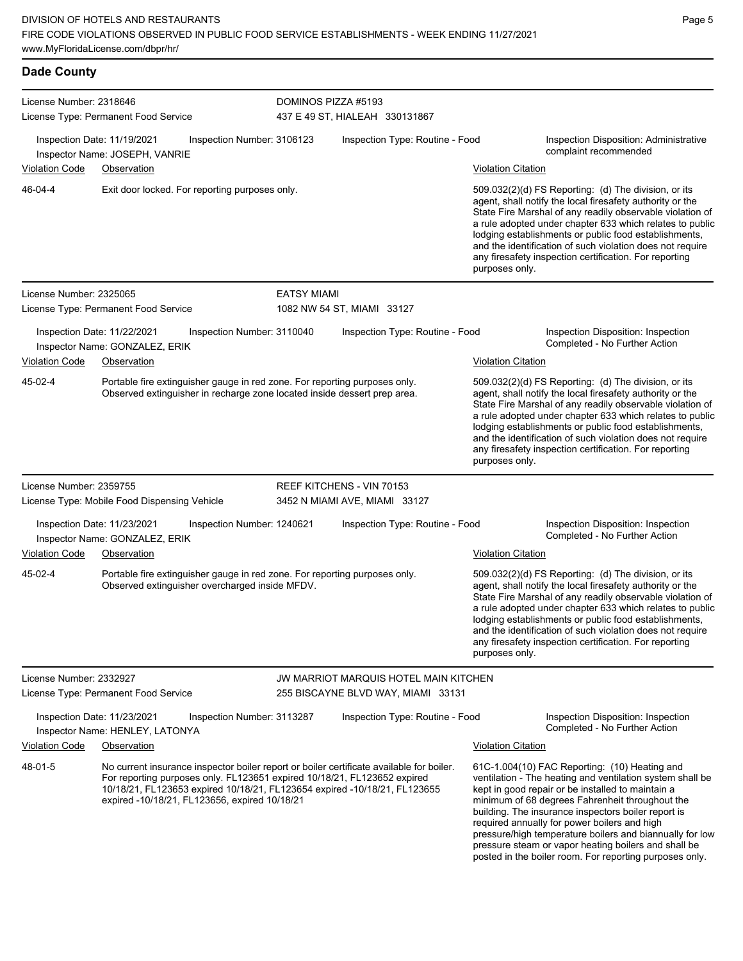| <b>Dade County</b>                   |                                                                |                                                                                                                                                        |                     |                                                                                                                                                                       |                           |                                                                                                                                                                                                                                                                                                                                                                                                                                                                                                          |
|--------------------------------------|----------------------------------------------------------------|--------------------------------------------------------------------------------------------------------------------------------------------------------|---------------------|-----------------------------------------------------------------------------------------------------------------------------------------------------------------------|---------------------------|----------------------------------------------------------------------------------------------------------------------------------------------------------------------------------------------------------------------------------------------------------------------------------------------------------------------------------------------------------------------------------------------------------------------------------------------------------------------------------------------------------|
| License Number: 2318646              | License Type: Permanent Food Service                           |                                                                                                                                                        | DOMINOS PIZZA #5193 | 437 E 49 ST, HIALEAH 330131867                                                                                                                                        |                           |                                                                                                                                                                                                                                                                                                                                                                                                                                                                                                          |
|                                      | Inspection Date: 11/19/2021<br>Inspector Name: JOSEPH, VANRIE  | Inspection Number: 3106123                                                                                                                             |                     | Inspection Type: Routine - Food                                                                                                                                       |                           | Inspection Disposition: Administrative<br>complaint recommended                                                                                                                                                                                                                                                                                                                                                                                                                                          |
| Violation Code                       | Observation                                                    |                                                                                                                                                        |                     |                                                                                                                                                                       | <b>Violation Citation</b> |                                                                                                                                                                                                                                                                                                                                                                                                                                                                                                          |
| 46-04-4                              |                                                                | Exit door locked. For reporting purposes only.                                                                                                         |                     |                                                                                                                                                                       | purposes only.            | 509.032(2)(d) FS Reporting: (d) The division, or its<br>agent, shall notify the local firesafety authority or the<br>State Fire Marshal of any readily observable violation of<br>a rule adopted under chapter 633 which relates to public<br>lodging establishments or public food establishments,<br>and the identification of such violation does not require<br>any firesafety inspection certification. For reporting                                                                               |
| License Number: 2325065              |                                                                |                                                                                                                                                        | <b>EATSY MIAMI</b>  |                                                                                                                                                                       |                           |                                                                                                                                                                                                                                                                                                                                                                                                                                                                                                          |
| License Type: Permanent Food Service |                                                                |                                                                                                                                                        |                     | 1082 NW 54 ST, MIAMI 33127                                                                                                                                            |                           |                                                                                                                                                                                                                                                                                                                                                                                                                                                                                                          |
|                                      | Inspection Date: 11/22/2021<br>Inspector Name: GONZALEZ, ERIK  | Inspection Number: 3110040                                                                                                                             |                     | Inspection Type: Routine - Food                                                                                                                                       |                           | Inspection Disposition: Inspection<br>Completed - No Further Action                                                                                                                                                                                                                                                                                                                                                                                                                                      |
| Violation Code<br>Observation        |                                                                |                                                                                                                                                        |                     |                                                                                                                                                                       | <b>Violation Citation</b> |                                                                                                                                                                                                                                                                                                                                                                                                                                                                                                          |
| 45-02-4                              |                                                                | Portable fire extinguisher gauge in red zone. For reporting purposes only.<br>Observed extinguisher in recharge zone located inside dessert prep area. |                     |                                                                                                                                                                       | purposes only.            | 509.032(2)(d) FS Reporting: (d) The division, or its<br>agent, shall notify the local firesafety authority or the<br>State Fire Marshal of any readily observable violation of<br>a rule adopted under chapter 633 which relates to public<br>lodging establishments or public food establishments,<br>and the identification of such violation does not require<br>any firesafety inspection certification. For reporting                                                                               |
| License Number: 2359755              |                                                                |                                                                                                                                                        |                     | REEF KITCHENS - VIN 70153                                                                                                                                             |                           |                                                                                                                                                                                                                                                                                                                                                                                                                                                                                                          |
|                                      | License Type: Mobile Food Dispensing Vehicle                   |                                                                                                                                                        |                     | 3452 N MIAMI AVE, MIAMI 33127                                                                                                                                         |                           |                                                                                                                                                                                                                                                                                                                                                                                                                                                                                                          |
|                                      | Inspection Date: 11/23/2021<br>Inspector Name: GONZALEZ, ERIK  | Inspection Number: 1240621                                                                                                                             |                     | Inspection Type: Routine - Food                                                                                                                                       |                           | Inspection Disposition: Inspection<br>Completed - No Further Action                                                                                                                                                                                                                                                                                                                                                                                                                                      |
| <b>Violation Code</b>                | Observation                                                    |                                                                                                                                                        |                     |                                                                                                                                                                       | <b>Violation Citation</b> |                                                                                                                                                                                                                                                                                                                                                                                                                                                                                                          |
| 45-02-4                              |                                                                | Portable fire extinguisher gauge in red zone. For reporting purposes only.<br>Observed extinguisher overcharged inside MFDV.                           |                     |                                                                                                                                                                       | purposes only.            | 509.032(2)(d) FS Reporting: (d) The division, or its<br>agent, shall notify the local firesafety authority or the<br>State Fire Marshal of any readily observable violation of<br>a rule adopted under chapter 633 which relates to public<br>lodging establishments or public food establishments,<br>and the identification of such violation does not require<br>any firesafety inspection certification. For reporting                                                                               |
| License Number: 2332927              |                                                                |                                                                                                                                                        |                     | JW MARRIOT MARQUIS HOTEL MAIN KITCHEN                                                                                                                                 |                           |                                                                                                                                                                                                                                                                                                                                                                                                                                                                                                          |
|                                      | License Type: Permanent Food Service                           |                                                                                                                                                        |                     | 255 BISCAYNE BLVD WAY, MIAMI 33131                                                                                                                                    |                           |                                                                                                                                                                                                                                                                                                                                                                                                                                                                                                          |
|                                      | Inspection Date: 11/23/2021<br>Inspector Name: HENLEY, LATONYA | Inspection Number: 3113287                                                                                                                             |                     | Inspection Type: Routine - Food                                                                                                                                       |                           | Inspection Disposition: Inspection<br>Completed - No Further Action                                                                                                                                                                                                                                                                                                                                                                                                                                      |
| <b>Violation Code</b>                | Observation                                                    |                                                                                                                                                        |                     |                                                                                                                                                                       | <b>Violation Citation</b> |                                                                                                                                                                                                                                                                                                                                                                                                                                                                                                          |
| 48-01-5                              |                                                                | For reporting purposes only. FL123651 expired 10/18/21, FL123652 expired<br>expired -10/18/21, FL123656, expired 10/18/21                              |                     | No current insurance inspector boiler report or boiler certificate available for boiler.<br>10/18/21, FL123653 expired 10/18/21, FL123654 expired -10/18/21, FL123655 |                           | 61C-1.004(10) FAC Reporting: (10) Heating and<br>ventilation - The heating and ventilation system shall be<br>kept in good repair or be installed to maintain a<br>minimum of 68 degrees Fahrenheit throughout the<br>building. The insurance inspectors boiler report is<br>required annually for power boilers and high<br>pressure/high temperature boilers and biannually for low<br>pressure steam or vapor heating boilers and shall be<br>posted in the boiler room. For reporting purposes only. |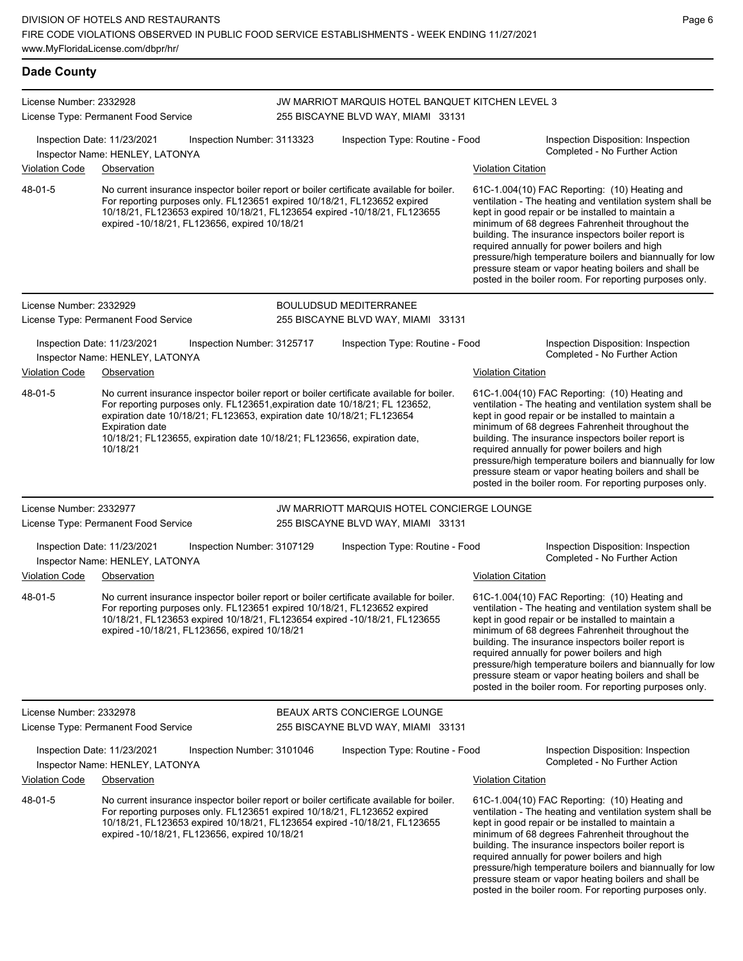#### **Dade County** License Number: 2332928 License Type: Permanent Food Service JW MARRIOT MARQUIS HOTEL BANQUET KITCHEN LEVEL 3 255 BISCAYNE BLVD WAY, MIAMI 33131 Inspection Date: 11/23/2021 Inspection Number: 3113323 Inspection Type: Routine - Food Inspection Disposition: Inspection Completed - No Further Action Inspector Name: HENLEY, LATONYA Violation Code Observation Violation Citation No current insurance inspector boiler report or boiler certificate available for boiler. For reporting purposes only. FL123651 expired 10/18/21, FL123652 expired 10/18/21, FL123653 expired 10/18/21, FL123654 expired -10/18/21, FL123655 expired -10/18/21, FL123656, expired 10/18/21 61C-1.004(10) FAC Reporting: (10) Heating and ventilation - The heating and ventilation system shall be kept in good repair or be installed to maintain a minimum of 68 degrees Fahrenheit throughout the building. The insurance inspectors boiler report is required annually for power boilers and high pressure/high temperature boilers and biannually for low pressure steam or vapor heating boilers and shall be posted in the boiler room. For reporting purposes only. 48-01-5 License Number: 2332929 License Type: Permanent Food Service BOULUDSUD MEDITERRANEE 255 BISCAYNE BLVD WAY, MIAMI 33131 Inspection Date: 11/23/2021 Inspection Number: 3125717 Inspection Type: Routine - Food Inspection Disposition: Inspection Inspector Name: HENLEY, LATONYA Violation Code Observation Violation Citation No current insurance inspector boiler report or boiler certificate available for boiler. For reporting purposes only. FL123651,expiration date 10/18/21; FL 123652, expiration date 10/18/21; FL123653, expiration date 10/18/21; FL123654 Expiration date 10/18/21; FL123655, expiration date 10/18/21; FL123656, expiration date, 10/18/21 61C-1.004(10) FAC Reporting: (10) Heating and ventilation - The heating and ventilation system shall be kept in good repair or be installed to maintain a minimum of 68 degrees Fahrenheit throughout the building. The insurance inspectors boiler report is required annually for power boilers and high pressure/high temperature boilers and biannually for low pressure steam or vapor heating boilers and shall be posted in the boiler room. For reporting purposes only. 48-01-5 License Number: 2332977 License Type: Permanent Food Service JW MARRIOTT MARQUIS HOTEL CONCIERGE LOUNGE 255 BISCAYNE BLVD WAY, MIAMI 33131 Inspection Date: 11/23/2021 Inspection Number: 3107129 Inspection Type: Routine - Food Inspection Disposition: Inspection Inspector Name: HENLEY, LATONYA **Completed - No Further Action** Violation Code Observation Violation Citation No current insurance inspector boiler report or boiler certificate available for boiler. For reporting purposes only. FL123651 expired 10/18/21, FL123652 expired 10/18/21, FL123653 expired 10/18/21, FL123654 expired -10/18/21, FL123655 expired -10/18/21, FL123656, expired 10/18/21 61C-1.004(10) FAC Reporting: (10) Heating and ventilation - The heating and ventilation system shall be kept in good repair or be installed to maintain a minimum of 68 degrees Fahrenheit throughout the building. The insurance inspectors boiler report is required annually for power boilers and high pressure/high temperature boilers and biannually for low pressure steam or vapor heating boilers and shall be posted in the boiler room. For reporting purposes only. 48-01-5

License Number: 2332978

48-01-5

License Type: Permanent Food Service

BEAUX ARTS CONCIERGE LOUNGE 255 BISCAYNE BLVD WAY, MIAMI 33131

For reporting purposes only. FL123651 expired 10/18/21, FL123652 expired 10/18/21, FL123653 expired 10/18/21, FL123654 expired -10/18/21, FL123655

expired -10/18/21, FL123656, expired 10/18/21

Inspection Date: 11/23/2021 Inspection Number: 3101046 Inspection Type: Routine - Food Inspection Disposition: Inspection Completed - No Further Action Inspector Name: HENLEY, LATONYA

### Violation Code Observation Violation Citation

No current insurance inspector boiler report or boiler certificate available for boiler. 61C-1.004(10) FAC Reporting: (10) Heating and ventilation - The heating and ventilation system shall be kept in good repair or be installed to maintain a minimum of 68 degrees Fahrenheit throughout the building. The insurance inspectors boiler report is required annually for power boilers and high pressure/high temperature boilers and biannually for low pressure steam or vapor heating boilers and shall be posted in the boiler room. For reporting purposes only.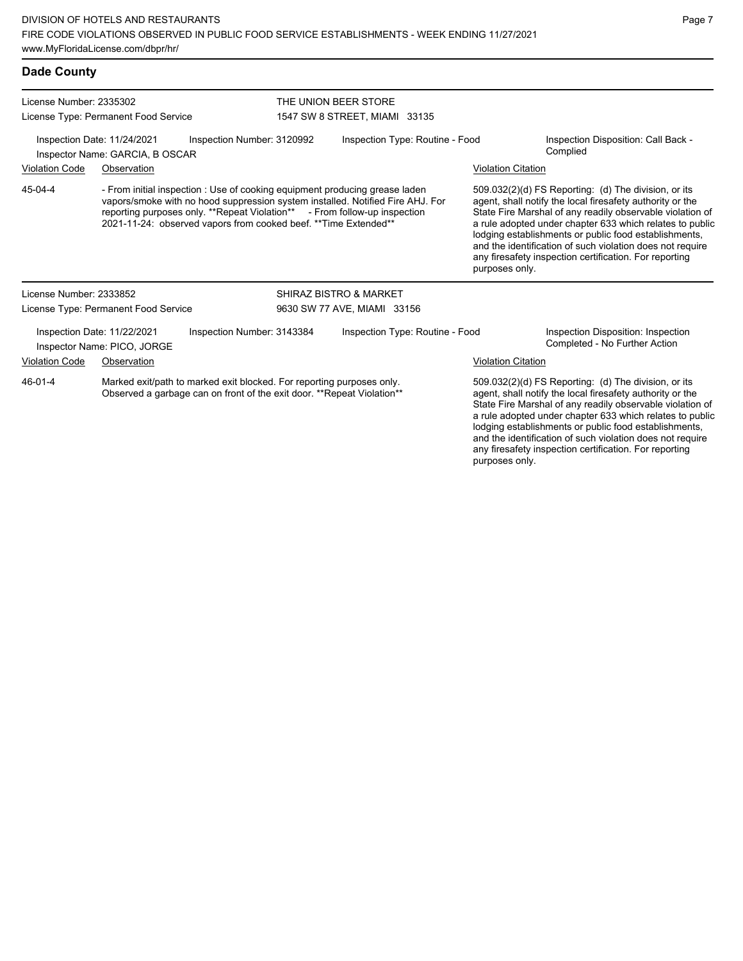| <b>Dade County</b>                                                                           |                                                                                                                                                 |                                                                                                                                                                                                                                                                                                                |                                                       |                                                                                    |                                                                                                                   |                                                                                                                                                                                                                                                                                                                                                                                                                                              |  |  |
|----------------------------------------------------------------------------------------------|-------------------------------------------------------------------------------------------------------------------------------------------------|----------------------------------------------------------------------------------------------------------------------------------------------------------------------------------------------------------------------------------------------------------------------------------------------------------------|-------------------------------------------------------|------------------------------------------------------------------------------------|-------------------------------------------------------------------------------------------------------------------|----------------------------------------------------------------------------------------------------------------------------------------------------------------------------------------------------------------------------------------------------------------------------------------------------------------------------------------------------------------------------------------------------------------------------------------------|--|--|
| License Number: 2335302<br>License Type: Permanent Food Service                              |                                                                                                                                                 |                                                                                                                                                                                                                                                                                                                | THE UNION BEER STORE<br>1547 SW 8 STREET, MIAMI 33135 |                                                                                    |                                                                                                                   |                                                                                                                                                                                                                                                                                                                                                                                                                                              |  |  |
| Inspection Date: 11/24/2021<br>Inspection Number: 3120992<br>Inspector Name: GARCIA, B OSCAR |                                                                                                                                                 |                                                                                                                                                                                                                                                                                                                |                                                       | Inspection Disposition: Call Back -<br>Inspection Type: Routine - Food<br>Complied |                                                                                                                   |                                                                                                                                                                                                                                                                                                                                                                                                                                              |  |  |
| <b>Violation Code</b><br>Observation                                                         |                                                                                                                                                 |                                                                                                                                                                                                                                                                                                                | <b>Violation Citation</b>                             |                                                                                    |                                                                                                                   |                                                                                                                                                                                                                                                                                                                                                                                                                                              |  |  |
| 45-04-4                                                                                      |                                                                                                                                                 | - From initial inspection : Use of cooking equipment producing grease laden<br>vapors/smoke with no hood suppression system installed. Notified Fire AHJ. For<br>reporting purposes only. **Repeat Violation** - From follow-up inspection<br>2021-11-24: observed vapors from cooked beef. ** Time Extended** |                                                       |                                                                                    |                                                                                                                   | 509.032(2)(d) FS Reporting: (d) The division, or its<br>agent, shall notify the local firesafety authority or the<br>State Fire Marshal of any readily observable violation of<br>a rule adopted under chapter 633 which relates to public<br>lodging establishments or public food establishments,<br>and the identification of such violation does not require<br>any firesafety inspection certification. For reporting<br>purposes only. |  |  |
| License Number: 2333852                                                                      |                                                                                                                                                 |                                                                                                                                                                                                                                                                                                                |                                                       | <b>SHIRAZ BISTRO &amp; MARKET</b>                                                  |                                                                                                                   |                                                                                                                                                                                                                                                                                                                                                                                                                                              |  |  |
|                                                                                              | License Type: Permanent Food Service                                                                                                            |                                                                                                                                                                                                                                                                                                                | 9630 SW 77 AVE, MIAMI 33156                           |                                                                                    |                                                                                                                   |                                                                                                                                                                                                                                                                                                                                                                                                                                              |  |  |
|                                                                                              | Inspection Date: 11/22/2021<br>Inspector Name: PICO, JORGE                                                                                      | Inspection Number: 3143384                                                                                                                                                                                                                                                                                     |                                                       | Inspection Type: Routine - Food                                                    |                                                                                                                   | Inspection Disposition: Inspection<br>Completed - No Further Action                                                                                                                                                                                                                                                                                                                                                                          |  |  |
| <b>Violation Code</b>                                                                        | Observation                                                                                                                                     |                                                                                                                                                                                                                                                                                                                |                                                       |                                                                                    | <b>Violation Citation</b>                                                                                         |                                                                                                                                                                                                                                                                                                                                                                                                                                              |  |  |
| 46-01-4                                                                                      | Marked exit/path to marked exit blocked. For reporting purposes only.<br>Observed a garbage can on front of the exit door. **Repeat Violation** |                                                                                                                                                                                                                                                                                                                |                                                       |                                                                                    | 509.032(2)(d) FS Reporting: (d) The division, or its<br>agent, shall notify the local firesafety authority or the |                                                                                                                                                                                                                                                                                                                                                                                                                                              |  |  |

agent, shall notify the local firesafety authority or the State Fire Marshal of any readily observable violation of a rule adopted under chapter 633 which relates to public lodging establishments or public food establishments, and the identification of such violation does not require any firesafety inspection certification. For reporting purposes only.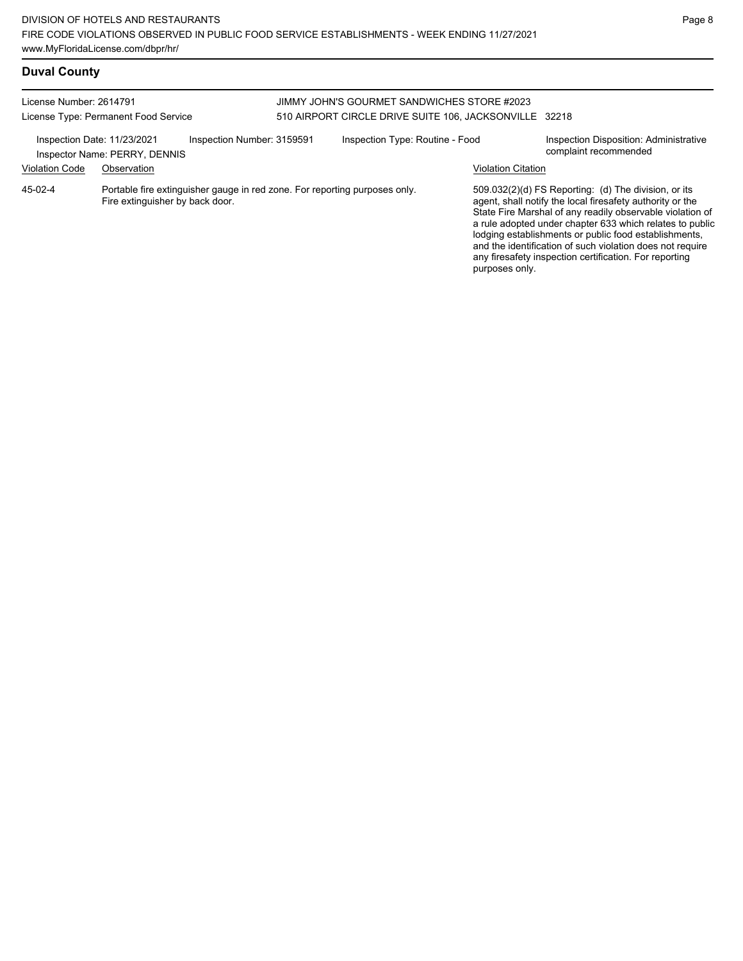# **Duval County**

| License Number: 2614791<br>License Type: Permanent Food Service |                                                                                                               |                            | JIMMY JOHN'S GOURMET SANDWICHES STORE #2023<br>510 AIRPORT CIRCLE DRIVE SUITE 106, JACKSONVILLE 32218 |                                 |  |                           |                                                                                                                                                                                                                                                                                                                                                                                                                            |
|-----------------------------------------------------------------|---------------------------------------------------------------------------------------------------------------|----------------------------|-------------------------------------------------------------------------------------------------------|---------------------------------|--|---------------------------|----------------------------------------------------------------------------------------------------------------------------------------------------------------------------------------------------------------------------------------------------------------------------------------------------------------------------------------------------------------------------------------------------------------------------|
| Inspection Date: 11/23/2021                                     | Inspector Name: PERRY, DENNIS                                                                                 | Inspection Number: 3159591 |                                                                                                       | Inspection Type: Routine - Food |  |                           | Inspection Disposition: Administrative<br>complaint recommended                                                                                                                                                                                                                                                                                                                                                            |
| <b>Violation Code</b>                                           | Observation                                                                                                   |                            |                                                                                                       |                                 |  | <b>Violation Citation</b> |                                                                                                                                                                                                                                                                                                                                                                                                                            |
| 45-02-4                                                         | Portable fire extinguisher gauge in red zone. For reporting purposes only.<br>Fire extinguisher by back door. |                            |                                                                                                       |                                 |  | purposes only.            | 509.032(2)(d) FS Reporting: (d) The division, or its<br>agent, shall notify the local firesafety authority or the<br>State Fire Marshal of any readily observable violation of<br>a rule adopted under chapter 633 which relates to public<br>lodging establishments or public food establishments,<br>and the identification of such violation does not require<br>any firesafety inspection certification. For reporting |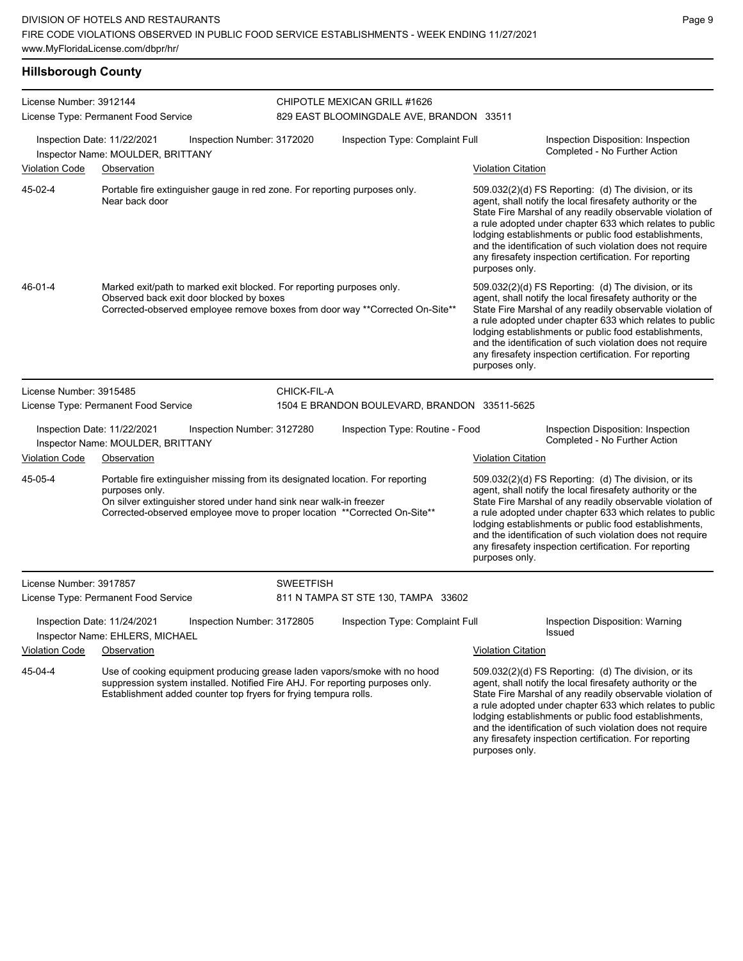| <b>Hillsborough County</b> |                                                                                                                   |                            |                  |                                                                                                                                                             |                           |                                                                                                                                                                                                                                                                                                                                                                                                                            |
|----------------------------|-------------------------------------------------------------------------------------------------------------------|----------------------------|------------------|-------------------------------------------------------------------------------------------------------------------------------------------------------------|---------------------------|----------------------------------------------------------------------------------------------------------------------------------------------------------------------------------------------------------------------------------------------------------------------------------------------------------------------------------------------------------------------------------------------------------------------------|
| License Number: 3912144    | License Type: Permanent Food Service                                                                              |                            |                  | CHIPOTLE MEXICAN GRILL #1626<br>829 EAST BLOOMINGDALE AVE, BRANDON 33511                                                                                    |                           |                                                                                                                                                                                                                                                                                                                                                                                                                            |
|                            | Inspection Date: 11/22/2021<br>Inspector Name: MOULDER, BRITTANY                                                  | Inspection Number: 3172020 |                  | Inspection Type: Complaint Full                                                                                                                             |                           | Inspection Disposition: Inspection<br>Completed - No Further Action                                                                                                                                                                                                                                                                                                                                                        |
| <b>Violation Code</b>      | Observation                                                                                                       |                            |                  |                                                                                                                                                             | <b>Violation Citation</b> |                                                                                                                                                                                                                                                                                                                                                                                                                            |
| 45-02-4                    | Portable fire extinguisher gauge in red zone. For reporting purposes only.<br>Near back door                      |                            |                  |                                                                                                                                                             | purposes only.            | 509.032(2)(d) FS Reporting: (d) The division, or its<br>agent, shall notify the local firesafety authority or the<br>State Fire Marshal of any readily observable violation of<br>a rule adopted under chapter 633 which relates to public<br>lodging establishments or public food establishments,<br>and the identification of such violation does not require<br>any firesafety inspection certification. For reporting |
| 46-01-4                    | Marked exit/path to marked exit blocked. For reporting purposes only.<br>Observed back exit door blocked by boxes |                            |                  | Corrected-observed employee remove boxes from door way **Corrected On-Site**                                                                                | purposes only.            | 509.032(2)(d) FS Reporting: (d) The division, or its<br>agent, shall notify the local firesafety authority or the<br>State Fire Marshal of any readily observable violation of<br>a rule adopted under chapter 633 which relates to public<br>lodging establishments or public food establishments,<br>and the identification of such violation does not require<br>any firesafety inspection certification. For reporting |
| License Number: 3915485    |                                                                                                                   |                            | CHICK-FIL-A      |                                                                                                                                                             |                           |                                                                                                                                                                                                                                                                                                                                                                                                                            |
|                            | License Type: Permanent Food Service                                                                              |                            |                  | 1504 E BRANDON BOULEVARD, BRANDON 33511-5625                                                                                                                |                           |                                                                                                                                                                                                                                                                                                                                                                                                                            |
|                            | Inspection Date: 11/22/2021<br>Inspector Name: MOULDER, BRITTANY                                                  | Inspection Number: 3127280 |                  | Inspection Type: Routine - Food                                                                                                                             |                           | Inspection Disposition: Inspection<br>Completed - No Further Action                                                                                                                                                                                                                                                                                                                                                        |
| <b>Violation Code</b>      | Observation                                                                                                       |                            |                  |                                                                                                                                                             | <b>Violation Citation</b> |                                                                                                                                                                                                                                                                                                                                                                                                                            |
| 45-05-4                    | purposes only.<br>On silver extinguisher stored under hand sink near walk-in freezer                              |                            |                  | Portable fire extinguisher missing from its designated location. For reporting<br>Corrected-observed employee move to proper location **Corrected On-Site** | purposes only.            | 509.032(2)(d) FS Reporting: (d) The division, or its<br>agent, shall notify the local firesafety authority or the<br>State Fire Marshal of any readily observable violation of<br>a rule adopted under chapter 633 which relates to public<br>lodging establishments or public food establishments,<br>and the identification of such violation does not require<br>any firesafety inspection certification. For reporting |
| License Number: 3917857    |                                                                                                                   |                            | <b>SWEETFISH</b> |                                                                                                                                                             |                           |                                                                                                                                                                                                                                                                                                                                                                                                                            |
|                            | License Type: Permanent Food Service                                                                              |                            |                  | 811 N TAMPA ST STE 130, TAMPA 33602                                                                                                                         |                           |                                                                                                                                                                                                                                                                                                                                                                                                                            |
|                            | Inspection Date: 11/24/2021<br>Inspector Name: EHLERS, MICHAEL                                                    | Inspection Number: 3172805 |                  | Inspection Type: Complaint Full                                                                                                                             |                           | Inspection Disposition: Warning<br><b>Issued</b>                                                                                                                                                                                                                                                                                                                                                                           |
| <b>Violation Code</b>      | Observation                                                                                                       |                            |                  |                                                                                                                                                             | <b>Violation Citation</b> |                                                                                                                                                                                                                                                                                                                                                                                                                            |
| 45-04-4                    | Establishment added counter top fryers for frying tempura rolls.                                                  |                            |                  | Use of cooking equipment producing grease laden vapors/smoke with no hood<br>suppression system installed. Notified Fire AHJ. For reporting purposes only.  | purposes only.            | 509.032(2)(d) FS Reporting: (d) The division, or its<br>agent, shall notify the local firesafety authority or the<br>State Fire Marshal of any readily observable violation of<br>a rule adopted under chapter 633 which relates to public<br>lodging establishments or public food establishments,<br>and the identification of such violation does not require<br>any firesafety inspection certification. For reporting |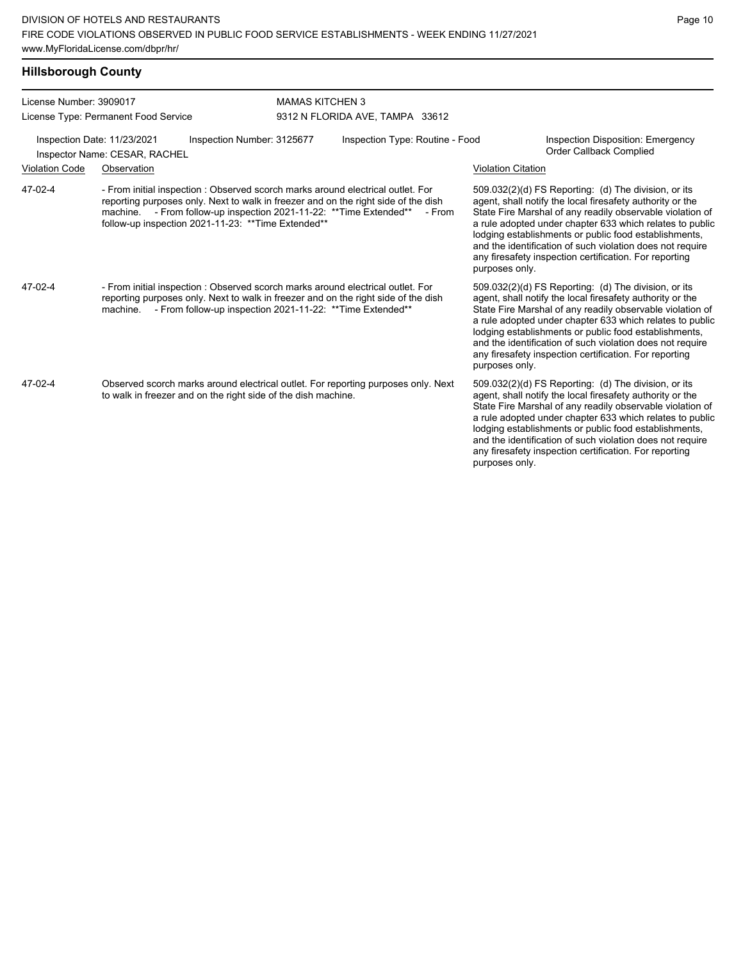| License Number: 3909017 |                                                              | <b>MAMAS KITCHEN 3</b>                                                                                                                                                                                                                                                                             |                                 |                                                                                                                                                                                                                                                                                                                                                                                                                                              |  |  |  |  |
|-------------------------|--------------------------------------------------------------|----------------------------------------------------------------------------------------------------------------------------------------------------------------------------------------------------------------------------------------------------------------------------------------------------|---------------------------------|----------------------------------------------------------------------------------------------------------------------------------------------------------------------------------------------------------------------------------------------------------------------------------------------------------------------------------------------------------------------------------------------------------------------------------------------|--|--|--|--|
|                         | License Type: Permanent Food Service                         |                                                                                                                                                                                                                                                                                                    | 9312 N FLORIDA AVE, TAMPA 33612 |                                                                                                                                                                                                                                                                                                                                                                                                                                              |  |  |  |  |
|                         | Inspection Date: 11/23/2021<br>Inspector Name: CESAR, RACHEL | Inspection Number: 3125677                                                                                                                                                                                                                                                                         | Inspection Type: Routine - Food | <b>Inspection Disposition: Emergency</b><br>Order Callback Complied                                                                                                                                                                                                                                                                                                                                                                          |  |  |  |  |
| <b>Violation Code</b>   | Observation                                                  |                                                                                                                                                                                                                                                                                                    |                                 | <b>Violation Citation</b>                                                                                                                                                                                                                                                                                                                                                                                                                    |  |  |  |  |
| 47-02-4                 |                                                              | - From initial inspection : Observed scorch marks around electrical outlet. For<br>reporting purposes only. Next to walk in freezer and on the right side of the dish<br>machine. - From follow-up inspection 2021-11-22: ** Time Extended**<br>follow-up inspection 2021-11-23: **Time Extended** | - From                          | 509.032(2)(d) FS Reporting: (d) The division, or its<br>agent, shall notify the local firesafety authority or the<br>State Fire Marshal of any readily observable violation of<br>a rule adopted under chapter 633 which relates to public<br>lodging establishments or public food establishments,<br>and the identification of such violation does not require<br>any firesafety inspection certification. For reporting<br>purposes only. |  |  |  |  |
| 47-02-4                 |                                                              | - From initial inspection : Observed scorch marks around electrical outlet. For<br>reporting purposes only. Next to walk in freezer and on the right side of the dish<br>machine. - From follow-up inspection 2021-11-22: ** Time Extended**                                                       |                                 | 509.032(2)(d) FS Reporting: (d) The division, or its<br>agent, shall notify the local firesafety authority or the<br>State Fire Marshal of any readily observable violation of<br>a rule adopted under chapter 633 which relates to public<br>lodging establishments or public food establishments,<br>and the identification of such violation does not require<br>any firesafety inspection certification. For reporting<br>purposes only. |  |  |  |  |
| 47-02-4                 |                                                              | Observed scorch marks around electrical outlet. For reporting purposes only. Next<br>to walk in freezer and on the right side of the dish machine.                                                                                                                                                 |                                 | 509.032(2)(d) FS Reporting: (d) The division, or its<br>agent, shall notify the local firesafety authority or the<br>State Fire Marshal of any readily observable violation of<br>a rule adopted under chapter 633 which relates to public<br>lodging establishments or public food establishments,<br>and the identification of such violation does not require<br>any firesafety inspection certification. For reporting<br>purposes only. |  |  |  |  |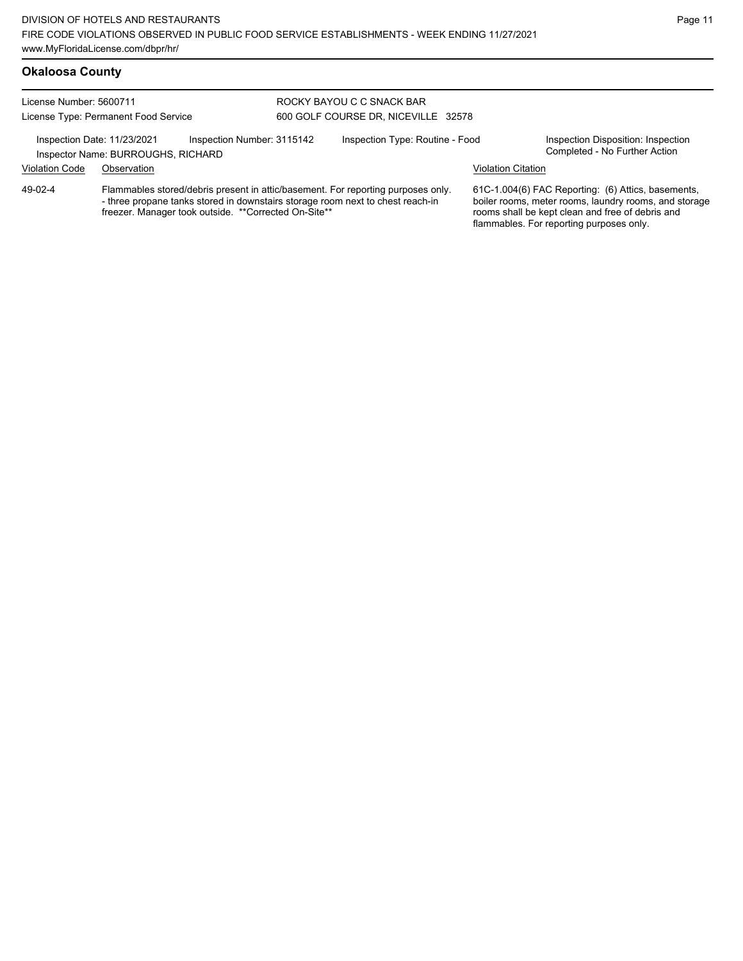#### License Number: 5600711 License Type: Permanent Food Service ROCKY BAYOU C C SNACK BAR 600 GOLF COURSE DR, NICEVILLE 32578 Inspection Date: 11/23/2021 Inspection Number: 3115142 Inspection Type: Routine - Food Inspection Disposition: Inspection<br>Inspector Name: BURROUGHS, RICHARD Inspector Name: BURROUGHS, RICHARD Violation Code Observation Violation Citation Flammables stored/debris present in attic/basement. For reporting purposes only. - three propane tanks stored in downstairs storage room next to chest reach-in freezer. Manager took outside. \*\*Corrected On-Site\*\* 61C-1.004(6) FAC Reporting: (6) Attics, basements, boiler rooms, meter rooms, laundry rooms, and storage rooms shall be kept clean and free of debris and flammables. For reporting purposes only. 49-02-4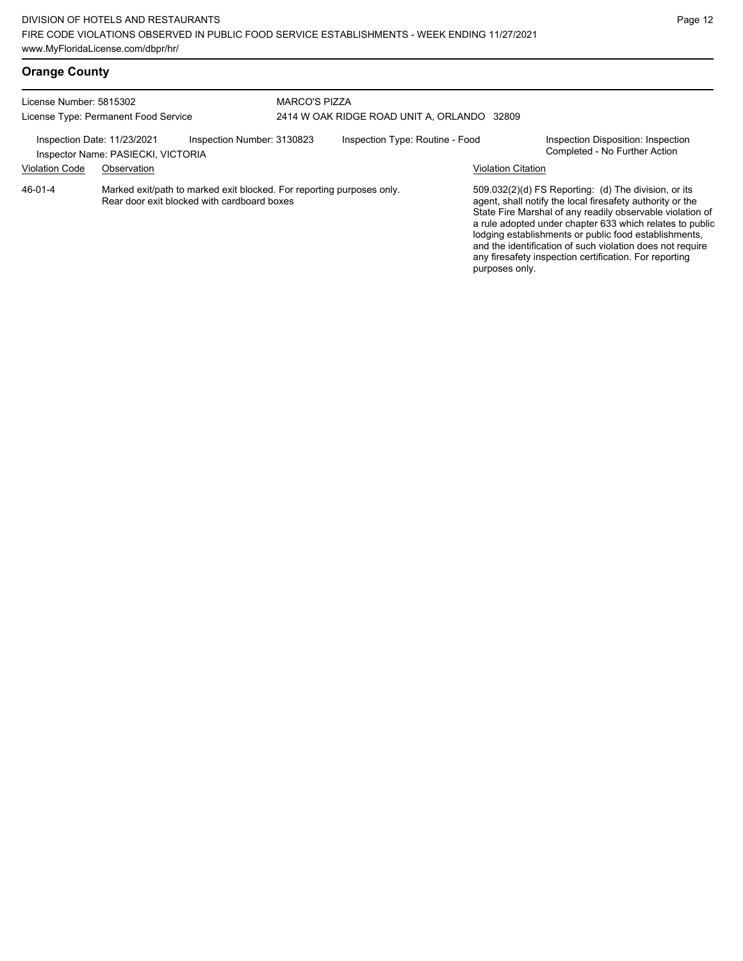| License Number: 5815302<br>License Type: Permanent Food Service<br>Inspection Number: 3130823<br>Inspection Date: 11/23/2021<br>Inspector Name: PASIECKI, VICTORIA |             |                                                                                                                      |                                 | <b>MARCO'S PIZZA</b>                        |                                                                     |                                                                                                                                                                                                                                                                                                                                                                                                                            |  |  |  |
|--------------------------------------------------------------------------------------------------------------------------------------------------------------------|-------------|----------------------------------------------------------------------------------------------------------------------|---------------------------------|---------------------------------------------|---------------------------------------------------------------------|----------------------------------------------------------------------------------------------------------------------------------------------------------------------------------------------------------------------------------------------------------------------------------------------------------------------------------------------------------------------------------------------------------------------------|--|--|--|
|                                                                                                                                                                    |             |                                                                                                                      |                                 | 2414 W OAK RIDGE ROAD UNIT A, ORLANDO 32809 |                                                                     |                                                                                                                                                                                                                                                                                                                                                                                                                            |  |  |  |
|                                                                                                                                                                    |             |                                                                                                                      | Inspection Type: Routine - Food |                                             | Inspection Disposition: Inspection<br>Completed - No Further Action |                                                                                                                                                                                                                                                                                                                                                                                                                            |  |  |  |
| <b>Violation Code</b>                                                                                                                                              | Observation |                                                                                                                      |                                 |                                             | <b>Violation Citation</b>                                           |                                                                                                                                                                                                                                                                                                                                                                                                                            |  |  |  |
| 46-01-4                                                                                                                                                            |             | Marked exit/path to marked exit blocked. For reporting purposes only.<br>Rear door exit blocked with cardboard boxes |                                 |                                             | purposes only.                                                      | 509.032(2)(d) FS Reporting: (d) The division, or its<br>agent, shall notify the local firesafety authority or the<br>State Fire Marshal of any readily observable violation of<br>a rule adopted under chapter 633 which relates to public<br>lodging establishments or public food establishments,<br>and the identification of such violation does not require<br>any firesafety inspection certification. For reporting |  |  |  |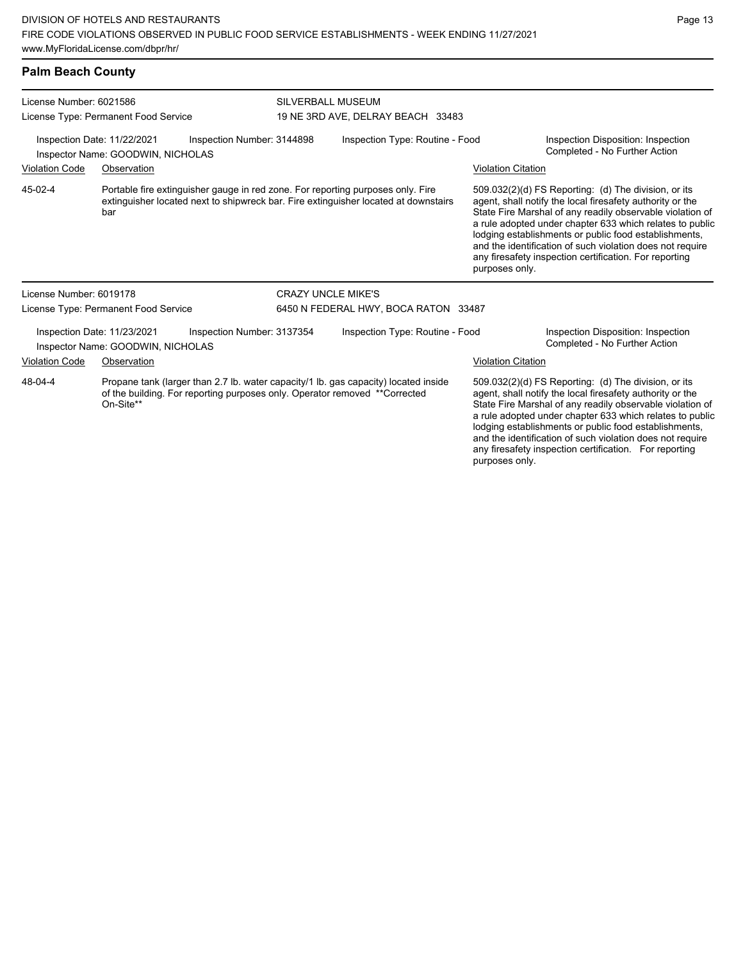### **Palm Beach County**

| License Number: 6021586<br>License Type: Permanent Food Service |                                                                  |                                                                            | <b>SILVERBALL MUSEUM</b><br>19 NE 3RD AVE, DELRAY BEACH 33483 |                                                                                                                                                                        |                                                                     |                                                                                                                                                                                                                                                                                                                                                                                                                            |  |  |
|-----------------------------------------------------------------|------------------------------------------------------------------|----------------------------------------------------------------------------|---------------------------------------------------------------|------------------------------------------------------------------------------------------------------------------------------------------------------------------------|---------------------------------------------------------------------|----------------------------------------------------------------------------------------------------------------------------------------------------------------------------------------------------------------------------------------------------------------------------------------------------------------------------------------------------------------------------------------------------------------------------|--|--|
|                                                                 | Inspection Date: 11/22/2021<br>Inspector Name: GOODWIN, NICHOLAS | Inspection Number: 3144898                                                 |                                                               | Inspection Type: Routine - Food                                                                                                                                        | Inspection Disposition: Inspection<br>Completed - No Further Action |                                                                                                                                                                                                                                                                                                                                                                                                                            |  |  |
| <b>Violation Code</b>                                           | Observation                                                      |                                                                            |                                                               |                                                                                                                                                                        | <b>Violation Citation</b>                                           |                                                                                                                                                                                                                                                                                                                                                                                                                            |  |  |
| 45-02-4                                                         | bar                                                              |                                                                            |                                                               | Portable fire extinguisher gauge in red zone. For reporting purposes only. Fire<br>extinguisher located next to shipwreck bar. Fire extinguisher located at downstairs | purposes only.                                                      | 509.032(2)(d) FS Reporting: (d) The division, or its<br>agent, shall notify the local firesafety authority or the<br>State Fire Marshal of any readily observable violation of<br>a rule adopted under chapter 633 which relates to public<br>lodging establishments or public food establishments,<br>and the identification of such violation does not require<br>any firesafety inspection certification. For reporting |  |  |
| License Number: 6019178                                         |                                                                  |                                                                            | <b>CRAZY UNCLE MIKE'S</b>                                     |                                                                                                                                                                        |                                                                     |                                                                                                                                                                                                                                                                                                                                                                                                                            |  |  |
|                                                                 | License Type: Permanent Food Service                             |                                                                            |                                                               | 6450 N FEDERAL HWY, BOCA RATON 33487                                                                                                                                   |                                                                     |                                                                                                                                                                                                                                                                                                                                                                                                                            |  |  |
|                                                                 | Inspection Date: 11/23/2021<br>Inspector Name: GOODWIN, NICHOLAS | Inspection Number: 3137354                                                 |                                                               | Inspection Type: Routine - Food                                                                                                                                        |                                                                     | Inspection Disposition: Inspection<br>Completed - No Further Action                                                                                                                                                                                                                                                                                                                                                        |  |  |
| <b>Violation Code</b>                                           | Observation                                                      |                                                                            |                                                               |                                                                                                                                                                        | <b>Violation Citation</b>                                           |                                                                                                                                                                                                                                                                                                                                                                                                                            |  |  |
| 48-04-4                                                         | On-Site**                                                        | of the building. For reporting purposes only. Operator removed **Corrected |                                                               | Propane tank (larger than 2.7 lb. water capacity/1 lb. gas capacity) located inside                                                                                    |                                                                     | 509.032(2)(d) FS Reporting: (d) The division, or its<br>agent, shall notify the local firesafety authority or the<br>State Fire Marshal of any readily observable violation of<br>a rule adopted under chapter 633 which relates to public<br>lodging establishments or public food establishments,<br>and the identification of such violation does not require<br>any firesafety inspection certification. For reporting |  |  |

purposes only.